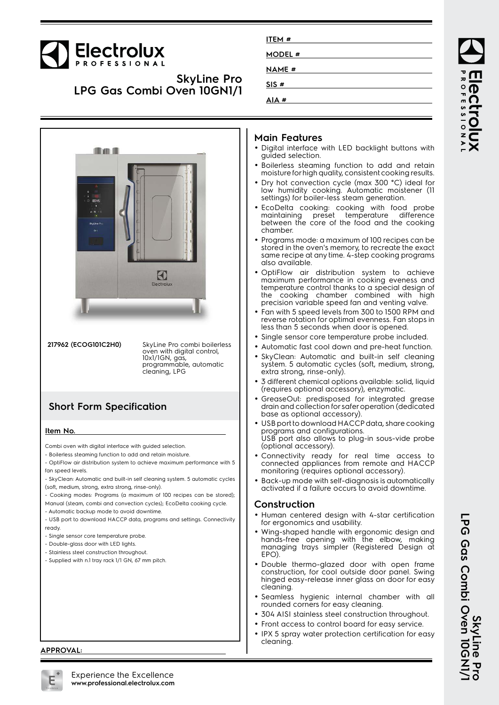# Electrolux

### **SkyLine Pro LPG Gas Combi Oven 10GN1/1**

| <b>Thank</b>                                      |                            |                                                | $\rightarrow \infty$ |
|---------------------------------------------------|----------------------------|------------------------------------------------|----------------------|
| a.<br>٥<br>B<br><b>CONS</b><br>$\bar{\mathbf{x}}$ |                            | Ý<br>İ<br>Ĭ<br>and the formulation of the con- |                      |
| 55.1<br>×<br>SkyLine Pro<br>$Q+1$                 |                            |                                                |                      |
|                                                   |                            |                                                |                      |
|                                                   | $\mathbf{E}$<br>Electrolux |                                                |                      |

**217962 (ECOG101C2H0)** SkyLine Pro combi boilerless oven with digital control, 10x1/1GN, gas, programmable, automatic cleaning, LPG

## **Short Form Specification**

#### **Item No.**

Combi oven with digital interface with guided selection.

- Boilerless steaming function to add and retain moisture.

- OptiFlow air distribution system to achieve maximum performance with 5 fan speed levels.
- SkyClean: Automatic and built-in self cleaning system. 5 automatic cycles (soft, medium, strong, extra strong, rinse-only).
- Cooking modes: Programs (a maximum of 100 recipes can be stored);
- Manual (steam, combi and convection cycles); EcoDelta cooking cycle.

- Automatic backup mode to avoid downtime.

- USB port to download HACCP data, programs and settings. Connectivity ready.
- Single sensor core temperature probe.
- Double-glass door with LED lights.
- Stainless steel construction throughout.
- Supplied with n.1 tray rack 1/1 GN, 67 mm pitch.

# **ITEM # MODEL # NAME # SIS # AIA #**

#### **Main Features**

- Digital interface with LED backlight buttons with guided selection.
- Boilerless steaming function to add and retain moisture for high quality, consistent cooking results.
- Dry hot convection cycle (max 300 °C) ideal for low humidity cooking. Automatic moistener (11 settings) for boiler-less steam generation.
- EcoDelta cooking: cooking with food probe maintaining preset temperature difference between the core of the food and the cooking chamber.
- • Programs mode: a maximum of 100 recipes can be stored in the oven's memory, to recreate the exact same recipe at any time. 4-step cooking programs also available.
- OptiFlow air distribution system to achieve maximum performance in cooking eveness and temperature control thanks to a special design of the cooking chamber combined with high precision variable speed fan and venting valve.
- Fan with 5 speed levels from 300 to 1500 RPM and reverse rotation for optimal evenness. Fan stops in less than 5 seconds when door is opened.
- Single sensor core temperature probe included.
- •Automatic fast cool down and pre-heat function.
- • SkyClean: Automatic and built-in self cleaning system. 5 automatic cycles (soft, medium, strong, extra strong, rinse-only).
- • 3 different chemical options available: solid, liquid (requires optional accessory), enzymatic.
- • GreaseOut: predisposed for integrated grease drain and collection for safer operation (dedicated base as optional accessory).
- USB port to download HACCP data, share cooking programs and configurations. USB port also allows to plug-in sous-vide probe (optional accessory).
- • Connectivity ready for real time access to connected appliances from remote and HACCP monitoring (requires optional accessory).
- Back-up mode with self-diagnosis is automatically activated if a failure occurs to avoid downtime.

#### **Construction**

- Human centered design with 4-star certification for ergonomics and usability.
- Wing-shaped handle with ergonomic design and hands-free opening with the elbow, making managing trays simpler (Registered Design at EPO).
- Double thermo-glazed door with open frame construction, for cool outside door panel. Swing hinged easy-release inner glass on door for easy cleaning.
- Seamless hygienic internal chamber with all rounded corners for easy cleaning.
- •304 AISI stainless steel construction throughout.
- Front access to control board for easy service.
- • IPX 5 spray water protection certification for easy cleaning.

**ROFESSIONA** Iect

**APPROVAL:**



**DPG**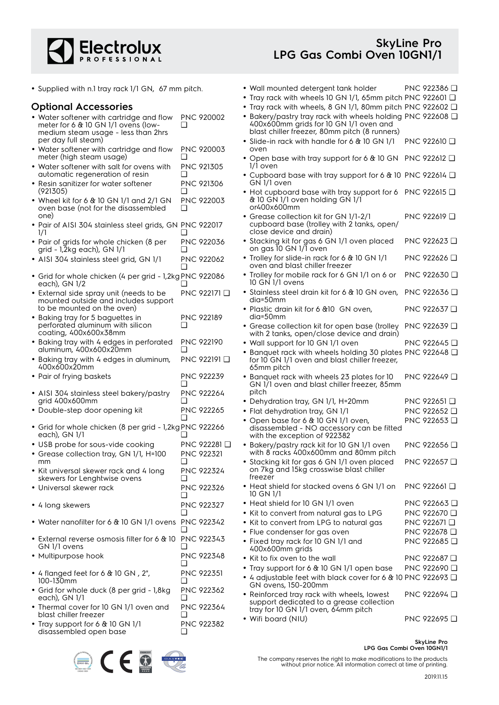

• Wall mounted detergent tank holder PNC 922386 ❑ • Tray rack with wheels 10 GN 1/1, 65mm pitch PNC 922601 ❑

• Supplied with n.1 tray rack 1/1 GN, 67 mm pitch.

#### **Optional Accessories**

| <b>Optional Accessories</b>                                                                                            |                               | • Tray rack with wheels, 8 GN 1/1, 80mm pitch PNC 922602 $\Box$                                                                                       |                         |
|------------------------------------------------------------------------------------------------------------------------|-------------------------------|-------------------------------------------------------------------------------------------------------------------------------------------------------|-------------------------|
| • Water softener with cartridge and flow<br>meter for 6 & 10 GN 1/1 ovens (low-<br>medium steam usage - less than 2hrs | <b>PNC 920002</b><br>❏        | • Bakery/pastry tray rack with wheels holding PNC 922608 Q<br>400x600mm grids for 10 GN 1/1 oven and<br>blast chiller freezer, 80mm pitch (8 runners) |                         |
| per day full steam)<br>• Water softener with cartridge and flow                                                        | PNC 920003                    | • Slide-in rack with handle for 6 & 10 GN 1/1<br>oven                                                                                                 | PNC 922610 <b>□</b>     |
| meter (high steam usage)<br>• Water softener with salt for ovens with                                                  | ❏<br>PNC 921305               | • Open base with tray support for 6 & 10 GN PNC 922612 Q<br>1/1 oven                                                                                  |                         |
| automatic regeneration of resin<br>• Resin sanitizer for water softener                                                | ❏<br>PNC 921306               | • Cupboard base with tray support for 6 & 10 PNC 922614 $\Box$<br>GN 1/1 oven                                                                         |                         |
| (921305)<br>• Wheel kit for 6 $&$ 10 GN 1/1 and 2/1 GN<br>oven base (not for the disassembled                          | <b>PNC 922003</b><br>❏        | • Hot cupboard base with tray support for 6 PNC 922615 $\Box$<br>& 10 GN 1/1 oven holding GN 1/1<br>or400x600mm                                       |                         |
| one)<br>· Pair of AISI 304 stainless steel grids, GN PNC 922017                                                        |                               | • Grease collection kit for GN 1/1-2/1<br>cupboard base (trolley with 2 tanks, open/<br>close device and drain)                                       | PNC 922619 <b>□</b>     |
| $\frac{1}{1}$<br>• Pair of grids for whole chicken (8 per<br>grid - 1,2kg each), GN 1/1                                | PNC 922036<br>∩               | • Stacking kit for gas 6 GN 1/1 oven placed<br>on gas 10 GN 1/1 oven                                                                                  | PNC 922623 □            |
| · AISI 304 stainless steel grid, GN 1/1                                                                                | PNC 922062                    | • Trolley for slide-in rack for 6 & 10 GN 1/1<br>oven and blast chiller freezer                                                                       | PNC 922626 <b>□</b>     |
| · Grid for whole chicken (4 per grid - 1,2kg PNC 922086<br>each), GN 1/2                                               |                               | • Trolley for mobile rack for 6 GN 1/1 on 6 or<br>10 GN 1/1 ovens                                                                                     | PNC 922630 □            |
| • External side spray unit (needs to be<br>mounted outside and includes support                                        | PNC 922171 D                  | • Stainless steel drain kit for 6 & 10 GN oven, PNC 922636 Q<br>dia=50mm                                                                              |                         |
| to be mounted on the oven)<br>• Baking tray for 5 baguettes in                                                         | <b>PNC 922189</b>             | · Plastic drain kit for 6 &10 GN oven,<br>$dia=50mm$                                                                                                  | PNC 922637 <b>□</b>     |
| perforated aluminum with silicon<br>coating, 400x600x38mm                                                              | ❏                             | • Grease collection kit for open base (trolley<br>with 2 tanks, open/close device and drain)                                                          | PNC 922639 □            |
| · Baking tray with 4 edges in perforated<br>aluminum, 400x600x20mm                                                     | <b>PNC 922190</b>             | • Wall support for 10 GN 1/1 oven                                                                                                                     | PNC 922645 □            |
| • Baking tray with 4 edges in aluminum,<br>400x600x20mm                                                                | PNC 922191 □                  | • Banquet rack with wheels holding 30 plates PNC 922648 Q<br>for 10 GN 1/1 oven and blast chiller freezer,<br>65mm pitch                              |                         |
| • Pair of frying baskets                                                                                               | PNC 922239<br>❏               | • Banquet rack with wheels 23 plates for 10<br>GN 1/1 oven and blast chiller freezer, 85mm                                                            | PNC 922649 □            |
| · AISI 304 stainless steel bakery/pastry<br>grid 400x600mm                                                             | <b>PNC 922264</b><br>❏        | pitch<br>• Dehydration tray, GN 1/1, H=20mm                                                                                                           | PNC 922651 <b>□</b>     |
| • Double-step door opening kit                                                                                         | <b>PNC 922265</b>             | • Flat dehydration tray, GN 1/1                                                                                                                       | PNC 922652 □            |
| • Grid for whole chicken (8 per grid - 1,2kg PNC 922266                                                                |                               | • Open base for 6 & 10 GN 1/1 oven,<br>disassembled - NO accessory can be fitted                                                                      | PNC 922653 □            |
| each), GN 1/1                                                                                                          |                               | with the exception of 922382                                                                                                                          |                         |
| • USB probe for sous-vide cooking                                                                                      | PNC 922281 <b>□</b>           | • Bakery/pastry rack kit for 10 GN 1/1 oven                                                                                                           | PNC 922656 <b>□</b>     |
| • Grease collection tray, GN 1/1, H=100<br>mm                                                                          | <b>PNC 922321</b>             | with 8 racks 400x600mm and 80mm pitch<br>• Stacking kit for gas 6 GN 1/1 oven placed                                                                  | PNC 922657              |
| • Kit universal skewer rack and 4 long<br>skewers for Lenghtwise ovens                                                 | <b>PNC 922324</b>             | on 7kg and 15kg crosswise blast chiller<br>freezer                                                                                                    |                         |
| • Universal skewer rack                                                                                                | PNC 922326<br>ப               | • Heat shield for stacked ovens 6 GN 1/1 on<br>10 GN 1/1                                                                                              | PNC 922661 □            |
| • 4 long skewers                                                                                                       | PNC 922327                    | • Heat shield for 10 GN 1/1 oven                                                                                                                      | PNC 922663 □            |
|                                                                                                                        | ❏                             | • Kit to convert from natural gas to LPG                                                                                                              | PNC 922670 <b>□</b>     |
| • Water nanofilter for 6 & 10 GN 1/1 ovens PNC 922342                                                                  | ப                             | • Kit to convert from LPG to natural gas                                                                                                              | PNC 922671 □            |
| • External reverse osmosis filter for 6 & 10                                                                           | PNC 922343                    | • Flue condenser for gas oven                                                                                                                         | PNC 922678 <b>□</b>     |
| GN 1/1 ovens                                                                                                           |                               | • Fixed tray rack for 10 GN 1/1 and<br>400x600mm grids                                                                                                | PNC 922685 <del>□</del> |
| · Multipurpose hook                                                                                                    | PNC 922348                    | • Kit to fix oven to the wall                                                                                                                         | PNC 922687 □            |
| • 4 flanged feet for 6 $&$ 10 GN, 2",                                                                                  | ❏<br>PNC 922351               | • Tray support for 6 & 10 GN 1/1 open base                                                                                                            | PNC 922690 □            |
| 100-130mm                                                                                                              | ❏                             | ● 4 adjustable feet with black cover for 6 & 10 PNC 922693 □<br>GN ovens, 150-200mm                                                                   |                         |
| • Grid for whole duck (8 per grid - 1,8kg<br>each), GN 1/1<br>• Thermal cover for 10 GN 1/1 oven and                   | PNC 922362<br>❏<br>PNC 922364 | • Reinforced tray rack with wheels, lowest<br>support dedicated to a grease collection                                                                | PNC 922694 □            |
| blast chiller freezer                                                                                                  | ❏                             | tray for 10 GN 1/1 oven, 64mm pitch<br>• Wifi board (NIU)                                                                                             | PNC 922695 <b>□</b>     |
| • Tray support for 6 $&$ 10 GN 1/1<br>disassembled open base                                                           | PNC 922382<br>❏               |                                                                                                                                                       |                         |



**SkyLine Pro LPG Gas Combi Oven 10GN1/1**

The company reserves the right to make modifications to the products without prior notice. All information correct at time of printing.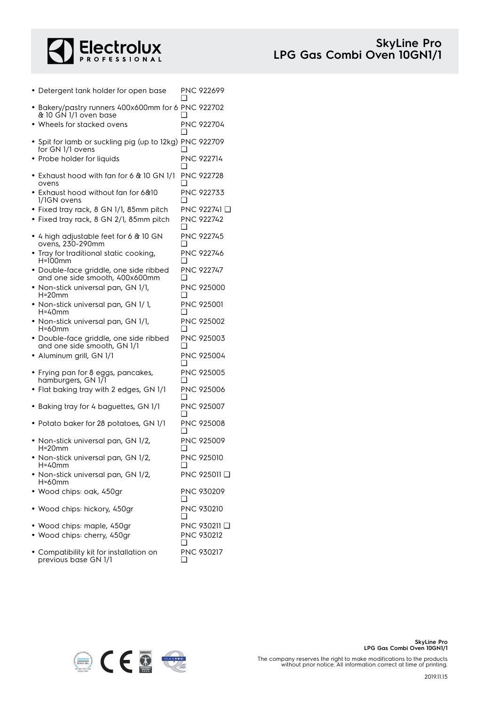

| • Detergent tank holder for open base                                       | ❏          | PNC 922699              |
|-----------------------------------------------------------------------------|------------|-------------------------|
| • Bakery/pastry runners 400x600mm for 6 PNC 922702<br>& 10 GN 1/1 oven base |            |                         |
| $\bullet\,$ Wheels for stacked ovens                                        |            | PNC 922704              |
| • Spit for lamb or suckling pig (up to 12kg) PNC 922709<br>for GN 1/1 ovens | □          |                         |
| • Probe holder for liquids                                                  | ∩          | <b>PNC 922714</b>       |
| $\bullet$ Exhaust hood with fan for 6 & 10 GN 1/1<br>ovens                  | l 1        | <b>PNC 922728</b>       |
| • Exhaust hood without fan for 6&10<br>1/1GN ovens                          | $^{\rm -}$ | <b>PNC 922733</b>       |
| · Fixed tray rack, 8 GN 1/1, 85mm pitch                                     |            | PNC 922741 <del>□</del> |
| • Fixed tray rack, 8 GN 2/1, 85mm pitch                                     | □          | PNC 922742              |
| • 4 high adjustable feet for 6 $\&$ 10 GN<br>ovens, 230-290mm               | ❏          | <b>PNC 922745</b>       |
| • Tray for traditional static cooking,<br>H=100mm                           |            | <b>PNC 922746</b>       |
| · Double-face griddle, one side ribbed<br>and one side smooth, 400x600mm    | <b>∩</b>   | <b>PNC 922747</b>       |
| • Non-stick universal pan, GN 1/1,<br>$H=20$ mm                             | □          | PNC 925000              |
| • Non-stick universal pan, GN 1/1,<br>H=40mm                                | □          | <b>PNC 925001</b>       |
| • Non-stick universal pan, GN 1/1,<br>H=60mm                                | ❏          | <b>PNC 925002</b>       |
| · Double-face griddle, one side ribbed<br>and one side smooth, GN 1/1       | l 1        | PNC 925003              |
| · Aluminum grill, GN 1/1                                                    | □          | PNC 925004              |
| • Frying pan for 8 eggs, pancakes,<br>hamburgers, GN 171                    |            | <b>PNC 925005</b>       |
| • Flat baking tray with 2 edges, GN 1/1                                     | □          | PNC 925006              |
| • Baking tray for 4 baguettes, GN 1/1                                       | ❏          | PNC 925007              |
| • Potato baker for 28 potatoes, GN 1/1                                      |            | <b>PNC 925008</b>       |
| • Non-stick universal pan, GN 1/2,<br>$H = 20$ mm                           |            | <b>PNC 925009</b>       |
| · Non-stick universal pan, GN 1/2,<br>H=40mm                                | ⊔          | PNC 925010              |
| Non-stick universal pan, GN 1/2,<br>H=60mm                                  |            | PNC 925011 □            |
| · Wood chips: oak, 450gr                                                    | ப          | PNC 930209              |
| · Wood chips: hickory, 450gr                                                | l 1        | <b>PNC 930210</b>       |
| • Wood chips: maple, 450gr                                                  |            | PNC 930211 <b>□</b>     |
| Wood chips: cherry, 450gr                                                   | ❏          | PNC 930212              |
| • Compatibility kit for installation on                                     |            | PNC 930217              |



❑

previous base GN 1/1